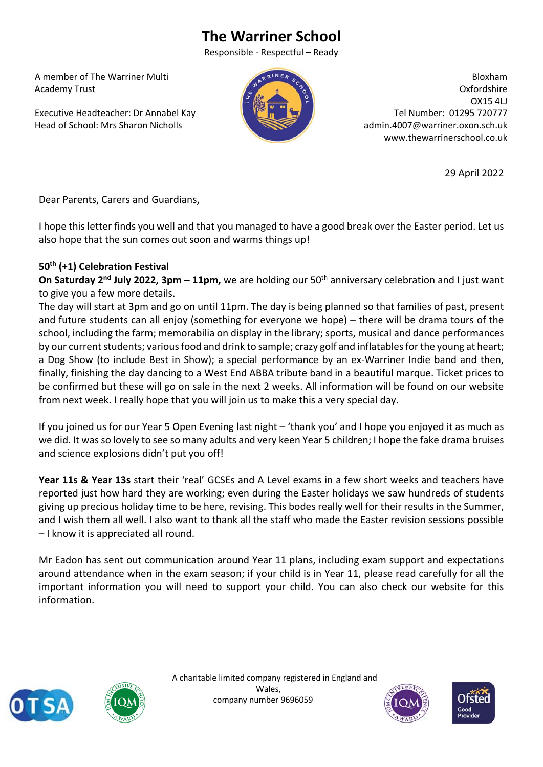## **The Warriner School**

Responsible ‐ Respectful – Ready

 A member of The Warriner Multi Academy Trust

 Executive Headteacher: Dr Annabel Kay Head of School: Mrs Sharon Nicholls



Bloxham Oxfordshire OX15 4LJ Tel Number: 01295 720777 admin.4007@warriner.oxon.sch.uk www.thewarrinerschool.co.uk

29 April 2022

Dear Parents, Carers and Guardians,

I hope this letter finds you well and that you managed to have a good break over the Easter period. Let us also hope that the sun comes out soon and warms things up!

## **50th (+1) Celebration Festival**

**On Saturday 2<sup>nd</sup> July 2022, 3pm – 11pm,** we are holding our 50<sup>th</sup> anniversary celebration and I just want to give you a few more details.

The day will start at 3pm and go on until 11pm. The day is being planned so that families of past, present and future students can all enjoy (something for everyone we hope) – there will be drama tours of the school, including the farm; memorabilia on display in the library; sports, musical and dance performances by our current students; various food and drink to sample; crazy golf and inflatables for the young at heart; a Dog Show (to include Best in Show); a special performance by an ex‐Warriner Indie band and then, finally, finishing the day dancing to a West End ABBA tribute band in a beautiful marque. Ticket prices to be confirmed but these will go on sale in the next 2 weeks. All information will be found on our website from next week. I really hope that you will join us to make this a very special day.

If you joined us for our Year 5 Open Evening last night – 'thank you' and I hope you enjoyed it as much as we did. It was so lovely to see so many adults and very keen Year 5 children; I hope the fake drama bruises and science explosions didn't put you off!

Year 11s & Year 13s start their 'real' GCSEs and A Level exams in a few short weeks and teachers have reported just how hard they are working; even during the Easter holidays we saw hundreds of students giving up precious holiday time to be here, revising. This bodes really well for their results in the Summer, and I wish them all well. I also want to thank all the staff who made the Easter revision sessions possible – I know it is appreciated all round.

Mr Eadon has sent out communication around Year 11 plans, including exam support and expectations around attendance when in the exam season; if your child is in Year 11, please read carefully for all the important information you will need to support your child. You can also check our website for this information.





 A charitable limited company registered in England and Wales, company number 9696059